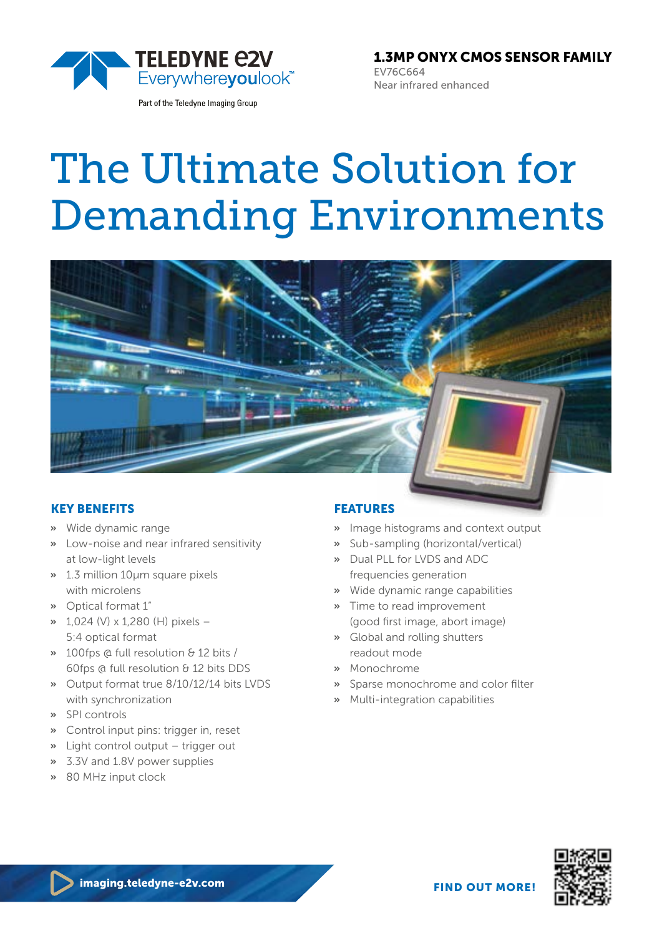

Part of the Teledyne Imaging Group

1.3MP ONYX CMOS SENSOR FAMILY EV76C664 Near infrared enhanced

# The Ultimate Solution for Demanding Environments



# KEY BENEFITS

- **»** Wide dynamic range
- **»** Low-noise and near infrared sensitivity at low-light levels
- **»** 1.3 million 10μm square pixels with microlens
- **»** Optical format 1"
- **»** 1,024 (V) x 1,280 (H) pixels 5:4 optical format
- **»** 100fps @ full resolution & 12 bits / 60fps @ full resolution & 12 bits DDS
- **»** Output format true 8/10/12/14 bits LVDS with synchronization
- **»** SPI controls
- **»** Control input pins: trigger in, reset
- **»** Light control output trigger out
- **»** 3.3V and 1.8V power supplies
- **»** 80 MHz input clock

## FEATURES

- **»** Image histograms and context output
- **»** Sub-sampling (horizontal/vertical)
- **»** Dual PLL for LVDS and ADC frequencies generation
- **»** Wide dynamic range capabilities
- **»** Time to read improvement (good first image, abort image)
- **»** Global and rolling shutters readout mode
- **»** Monochrome
- **»** Sparse monochrome and color filter
- **»** Multi-integration capabilities